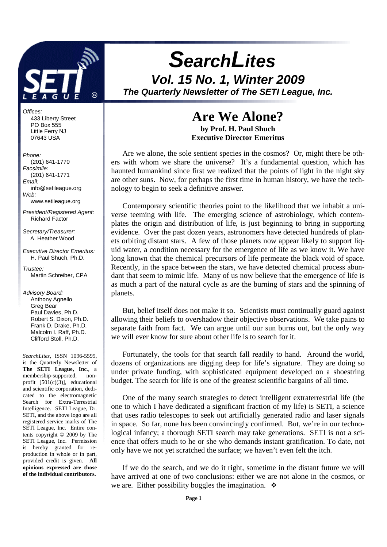

Offices: 433 Liberty Street PO Box 555 Little Ferry NJ 07643 USA

#### Phone:

 (201) 641-1770 Facsimile: (201) 641-1771 Email: info@setileague.org Web: www.setileague.org President/Registered Agent: Richard Factor Secretary/Treasurer: A. Heather Wood Executive Director Emeritus: H. Paul Shuch, Ph.D. Trustee: Martin Schreiber, CPA Advisory Board: Anthony Agnello Greg Bear Paul Davies, Ph.D. Robert S. Dixon, Ph.D. Frank D. Drake, Ph.D. Malcolm I. Raff, Ph.D. Clifford Stoll, Ph.D. *SearchLites*, ISSN 1096-5599,

is the Quarterly Newsletter of **The SETI League, Inc**., a membership-supported, nonprofit [501(c)(3)], educational and scientific corporation, dedicated to the electromagnetic Search for Extra-Terrestrial Intelligence. SETI League, Dr. SETI, and the above logo are all registered service marks of The SETI League, Inc. Entire contents copyright © 2009 by The SETI League, Inc. Permission is hereby granted for reproduction in whole or in part, provided credit is given. **All opinions expressed are those of the individual contributors.** 

# **SearchLites Vol. 15 No. 1, Winter 2009 The Quarterly Newsletter of The SETI League, Inc.**

**Are We Alone?** 

**by Prof. H. Paul Shuch Executive Director Emeritus** 

Are we alone, the sole sentient species in the cosmos? Or, might there be others with whom we share the universe? It's a fundamental question, which has haunted humankind since first we realized that the points of light in the night sky are other suns. Now, for perhaps the first time in human history, we have the technology to begin to seek a definitive answer.

 Contemporary scientific theories point to the likelihood that we inhabit a universe teeming with life. The emerging science of astrobiology, which contemplates the origin and distribution of life, is just beginning to bring in supporting evidence. Over the past dozen years, astronomers have detected hundreds of planets orbiting distant stars. A few of those planets now appear likely to support liquid water, a condition necessary for the emergence of life as we know it. We have long known that the chemical precursors of life permeate the black void of space. Recently, in the space between the stars, we have detected chemical process abundant that seem to mimic life. Many of us now believe that the emergence of life is as much a part of the natural cycle as are the burning of stars and the spinning of planets.

 But, belief itself does not make it so. Scientists must continually guard against allowing their beliefs to overshadow their objective observations. We take pains to separate faith from fact. We can argue until our sun burns out, but the only way we will ever know for sure about other life is to search for it.

 Fortunately, the tools for that search fall readily to hand. Around the world, dozens of organizations are digging deep for life's signature. They are doing so under private funding, with sophisticated equipment developed on a shoestring budget. The search for life is one of the greatest scientific bargains of all time.

One of the many search strategies to detect intelligent extraterrestrial life (the one to which I have dedicated a significant fraction of my life) is SETI, a science that uses radio telescopes to seek out artificially generated radio and laser signals in space. So far, none has been convincingly confirmed. But, we're in our technological infancy; a thorough SETI search may take generations. SETI is not a science that offers much to he or she who demands instant gratification. To date, not only have we not yet scratched the surface; we haven't even felt the itch.

If we do the search, and we do it right, sometime in the distant future we will have arrived at one of two conclusions: either we are not alone in the cosmos, or we are. Either possibility boggles the imagination.  $\bullet$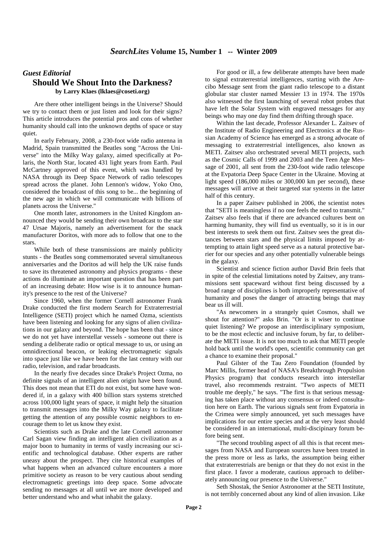#### *Guest Editorial*  **Should We Shout Into the Darkness? by Larry Klaes (lklaes@coseti.org)**

Are there other intelligent beings in the Universe? Should we try to contact them or just listen and look for their signs? This article introduces the potential pros and cons of whether humanity should call into the unknown depths of space or stay quiet.

In early February, 2008, a 230-foot wide radio antenna in Madrid, Spain transmitted the Beatles song "Across the Universe" into the Milky Way galaxy, aimed specifically at Polaris, the North Star, located 431 light years from Earth. Paul McCartney approved of this event, which was handled by NASA through its Deep Space Network of radio telescopes spread across the planet. John Lennon's widow, Yoko Ono, considered the broadcast of this song to be... the beginning of the new age in which we will communicate with billions of planets across the Universe."

One month later, astronomers in the United Kingdom announced they would be sending their own broadcast to the star 47 Ursae Majoris, namely an advertisement for the snack manufacturer Doritos, with more ads to follow that one to the stars.

While both of these transmissions are mainly publicity stunts - the Beatles song commemorated several simultaneous anniversaries and the Doritos ad will help the UK raise funds to save its threatened astronomy and physics programs - these actions do illuminate an important question that has been part of an increasing debate: How wise is it to announce humanity's presence to the rest of the Universe?

Since 1960, when the former Cornell astronomer Frank Drake conducted the first modern Search for Extraterrestrial Intelligence (SETI) project which he named Ozma, scientists have been listening and looking for any signs of alien civilizations in our galaxy and beyond. The hope has been that - since we do not yet have interstellar vessels - someone out there is sending a deliberate radio or optical message to us, or using an omnidirectional beacon, or leaking electromagnetic signals into space just like we have been for the last century with our radio, television, and radar broadcasts.

In the nearly five decades since Drake's Project Ozma, no definite signals of an intelligent alien origin have been found. This does not mean that ETI do not exist, but some have wondered if, in a galaxy with 400 billion stars systems stretched across 100,000 light years of space, it might help the situation to transmit messages into the Milky Way galaxy to facilitate getting the attention of any possible cosmic neighbors to encourage them to let us know they exist.

Scientists such as Drake and the late Cornell astronomer Carl Sagan view finding an intelligent alien civilization as a major boon to humanity in terms of vastly increasing our scientific and technological database. Other experts are rather uneasy about the prospect. They cite historical examples of what happens when an advanced culture encounters a more primitive society as reason to be very cautious about sending electromagnetic greetings into deep space. Some advocate sending no messages at all until we are more developed and better understand who and what inhabit the galaxy.

For good or ill, a few deliberate attempts have been made to signal extraterrestrial intelligences, starting with the Arecibo Message sent from the giant radio telescope to a distant globular star cluster named Messier 13 in 1974. The 1970s also witnessed the first launching of several robot probes that have left the Solar System with engraved messages for any beings who may one day find them drifting through space.

Within the last decade, Professor Alexander L. Zaitsev of the Institute of Radio Engineering and Electronics at the Russian Academy of Science has emerged as a strong advocate of messaging to extraterrestrial intelligences, also known as METI. Zaitsev also orchestrated several METI projects, such as the Cosmic Calls of 1999 and 2003 and the Teen Age Message of 2001, all sent from the 230-foot wide radio telescope at the Evpatoria Deep Space Center in the Ukraine. Moving at light speed (186,000 miles or 300,000 km per second), these messages will arrive at their targeted star systems in the latter half of this century.

In a paper Zaitsev published in 2006, the scientist notes that "SETI is meaningless if no one feels the need to transmit." Zaitsev also feels that if there are advanced cultures bent on harming humanity, they will find us eventually, so it is in our best interests to seek them out first. Zaitsev sees the great distances between stars and the physical limits imposed by attempting to attain light speed serve as a natural protective barrier for our species and any other potentially vulnerable beings in the galaxy.

Scientist and science fiction author David Brin feels that in spite of the celestial limitations noted by Zaitsev, any transmissions sent spaceward without first being discussed by a broad range of disciplines is both improperly representative of humanity and poses the danger of attracting beings that may bear us ill will.

"As newcomers in a strangely quiet Cosmos, shall we shout for attention?" asks Brin. "Or is it wiser to continue quiet listening? We propose an interdisciplinary symposium, to be the most eclectic and inclusive forum, by far, to deliberate the METI issue. It is not too much to ask that METI people hold back until the world's open, scientific community can get a chance to examine their proposal."

Paul Gilster of the Tau Zero Foundation (founded by Marc Millis, former head of NASA's Breakthrough Propulsion Physics program) that conducts research into interstellar travel, also recommends restraint. "Two aspects of METI trouble me deeply," he says. "The first is that serious messaging has taken place without any consensus or indeed consultation here on Earth. The various signals sent from Evpatoria in the Crimea were simply announced, yet such messages have implications for our entire species and at the very least should be considered in an international, multi-discipinary forum before being sent.

"The second troubling aspect of all this is that recent messages from NASA and European sources have been treated in the press more or less as larks, the assumption being either that extraterrestrials are benign or that they do not exist in the first place. I favor a moderate, cautious approach to deliberately announcing our presence to the Universe."

Seth Shostak, the Senior Astronomer at the SETI Institute, is not terribly concerned about any kind of alien invasion. Like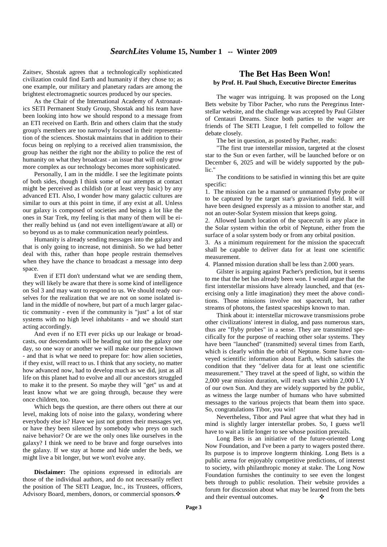Zaitsev, Shostak agrees that a technologically sophisticated civilization could find Earth and humanity if they chose to; as one example, our military and planetary radars are among the brightest electromagnetic sources produced by our species.

As the Chair of the International Academy of Astronautics SETI Permanent Study Group, Shostak and his team have been looking into how we should respond to a message from an ETI received on Earth. Brin and others claim that the study group's members are too narrowly focused in their representation of the sciences. Shostak maintains that in addition to their focus being on replying to a received alien transmission, the group has neither the right nor the ability to police the rest of humanity on what they broadcast - an issue that will only grow more complex as our technology becomes more sophisticated.

Personally, I am in the middle. I see the legitimate points of both sides, though I think some of our attempts at contact might be perceived as childish (or at least very basic) by any advanced ETI. Also, I wonder how many galactic cultures are similar to ours at this point in time, if any exist at all. Unless our galaxy is composed of societies and beings a lot like the ones in Star Trek, my feeling is that many of them will be either really behind us (and not even intelligent/aware at all) or so beyond us as to make communication nearly pointless.

Humanity is already sending messages into the galaxy and that is only going to increase, not diminish. So we had better deal with this, rather than hope people restrain themselves when they have the chance to broadcast a message into deep space.

Even if ETI don't understand what we are sending them, they will likely be aware that there is some kind of intelligence on Sol 3 and may want to respond to us. We should ready ourselves for the realization that we are not on some isolated island in the middle of nowhere, but part of a much larger galactic community - even if the community is "just" a lot of star systems with no high level inhabitants - and we should start acting accordingly.

And even if no ETI ever picks up our leakage or broadcasts, our descendants will be heading out into the galaxy one day, so one way or another we will make our presence known - and that is what we need to prepare for: how alien societies, if they exist, will react to us. I think that any society, no matter how advanced now, had to develop much as we did, just as all life on this planet had to evolve and all our ancestors struggled to make it to the present. So maybe they will "get" us and at least know what we are going through, because they were once children, too.

Which begs the question, are there others out there at our level, making lots of noise into the galaxy, wondering where everybody else is? Have we just not gotten their messages yet, or have they been silenced by somebody who preys on such naive behavior? Or are we the only ones like ourselves in the galaxy? I think we need to be brave and forge ourselves into the galaxy. If we stay at home and hide under the beds, we might live a bit longer, but we won't evolve any.

**Disclaimer:** The opinions expressed in editorials are those of the individual authors, and do not necessarily reflect the position of The SETI League, Inc., its Trustees, officers, Advisory Board, members, donors, or commercial sponsors. ❖

#### **The Bet Has Been Won! by Prof. H. Paul Shuch, Executive Director Emeritus**

The wager was intriguing. It was proposed on the Long Bets website by Tibor Pacher, who runs the Peregrinus Interstellar website, and the challenge was accepted by Paul Gilster of Centauri Dreams. Since both parties to the wager are friends of The SETI League, I felt compelled to follow the debate closely.

The bet in question, as posted by Pacher, reads:

"The first true interstellar mission, targeted at the closest star to the Sun or even farther, will be launched before or on December 6, 2025 and will be widely supported by the public."

The conditions to be satisfied in winning this bet are quite specific:

1. The mission can be a manned or unmanned flyby probe or to be captured by the target star's gravitational field. It will have been designed expressly as a mission to another star, and not an outer-Solar System mission that keeps going.

2. Allowed launch location of the spacecraft is any place in the Solar system within the orbit of Neptune, either from the surface of a solar system body or from any orbital position.

3. As a minimum requirement for the mission the spacecraft shall be capable to deliver data for at least one scientific measurement.

4. Planned mission duration shall be less than 2.000 years.

Gilster is arguing against Pacher's prediction, but it seems to me that the bet has already been won. I would argue that the first interstellar missions have already launched, and that (exercising only a little imagination) they meet the above conditions. Those missions involve not spacecraft, but rather streams of photons, the fastest spaceships known to man.

Think about it: interstellar microwave transmissions probe other civilizations' interest in dialog, and pass numerous stars, thus are "flyby probes" in a sense. They are transmitted specifically for the purpose of reaching other solar systems. They have been "launched" (transmitted) several times from Earth, which is clearly within the orbit of Neptune. Some have conveyed scientific information about Earth, which satisfies the condition that they "deliver data for at least one scientific measurement." They travel at the speed of light, so within the 2,000 year mission duration, will reach stars within 2,000 LY of our own Sun. And they are widely supported by the public, as witness the large number of humans who have submitted messages to the various projects that beam them into space. So, congratulations Tibor, you win!

Nevertheless, Tibor and Paul agree that what they had in mind is slightly larger interstellar probes. So, I guess we'll have to wait a little longer to see whose position prevails.

Long Bets is an initiative of the future-oriented Long Now Foundation, and I've been a party to wagers posted there. Its purpose is to improve longterm thinking. Long Bets is a public arena for enjoyably competitive predictions, of interest to society, with philanthropic money at stake. The Long Now Foundation furnishes the continuity to see even the longest bets through to public resolution. Their website provides a forum for discussion about what may be learned from the bets and their eventual outcomes. ❖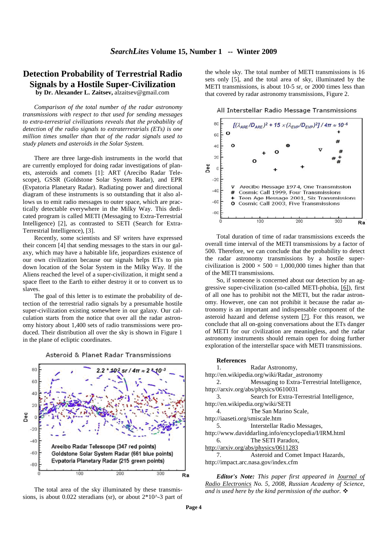#### **Detection Probability of Terrestrial Radio Signals by a Hostile Super-Civilization by Dr. Alexander L. Zaitsev,** alzaitsev@gmail.com

*Comparison of the total number of the radar astronomy transmissions with respect to that used for sending messages to extra-terrestrial civilizations reveals that the probability of detection of the radio signals to extraterrestrials (ETs) is one million times smaller than that of the radar signals used to study planets and asteroids in the Solar System.* 

There are three large-dish instruments in the world that are currently employed for doing radar investigations of planets, asteroids and comets [1]: ART (Arecibo Radar Telescope), GSSR (Goldstone Solar System Radar), and EPR (Evpatoria Planetary Radar). Radiating power and directional diagram of these instruments is so outstanding that it also allows us to emit radio messages to outer space, which are practically detectable everywhere in the Milky Way. This dedicated program is called METI (Messaging to Extra-Terrestrial Intelligence) [2], as contrasted to SETI (Search for Extra-Terrestrial Intelligence), [3].

Recently, some scientists and SF writers have expressed their concern [4] that sending messages to the stars in our galaxy, which may have a habitable life, jeopardizes existence of our own civilization because our signals helps ETs to pin down location of the Solar System in the Milky Way. If the Aliens reached the level of a super-civilization, it might send a space fleet to the Earth to either destroy it or to convert us to slaves.

The goal of this letter is to estimate the probability of detection of the terrestrial radio signals by a presumable hostile super-civilization existing somewhere in our galaxy. Our calculation starts from the notice that over all the radar astronomy history about 1,400 sets of radio transmissions were produced. Their distribution all over the sky is shown in Figure 1 in the plane of ecliptic coordinates.

Asteroid & Planet Radar Transmissions



The total area of the sky illuminated by these transmissions, is about  $0.022$  steradians (sr), or about  $2*10^2$ -3 part of the whole sky. The total number of METI transmissions is 16 sets only [5], and the total area of sky, illuminated by the METI transmissions, is about 10-5 sr, or 2000 times less than that covered by radar astronomy transmissions, Figure 2.





Total duration of time of radar transmissions exceeds the overall time interval of the METI transmissions by a factor of 500. Therefore, we can conclude that the probability to detect the radar astronomy transmissions by a hostile supercivilization is  $2000 \times 500 = 1,000,000$  times higher than that of the METI transmissions.

So, if someone is concerned about our detection by an aggressive super-civilization (so-called METI-phobia, [6]), first of all one has to prohibit not the METI, but the radar astronomy. However, one can not prohibit it because the radar astronomy is an important and indispensable component of the asteroid hazard and defense system [7]. For this reason, we conclude that all on-going conversations about the ETs danger of METI for our civilization are meaningless, and the radar astronomy instruments should remain open for doing further exploration of the interstellar space with METI transmissions.

#### **References**

1. Radar Astronomy, http://en.wikipedia.org/wiki/Radar\_astronomy 2. Messaging to Extra-Terrestrial Intelligence, http://arxiv.org/abs/physics/0610031 3. Search for Extra-Terrestrial Intelligence, http://en.wikipedia.org/wiki/SETI 4. The San Marino Scale, http://iaaseti.org/smiscale.htm 5. Interstellar Radio Messages, http://www.daviddarling.info/encyclopedia/I/IRM.html 6. The SETI Paradox, http://arxiv.org/abs/physics/0611283<br>7. Asteroid and Come Asteroid and Comet Impact Hazards, http://impact.arc.nasa.gov/index.cfm

*Editor's Note: This paper first appeared in Journal of Radio Electronics No. 5, 2008, Russian Academy of Science, and is used here by the kind permission of the author.*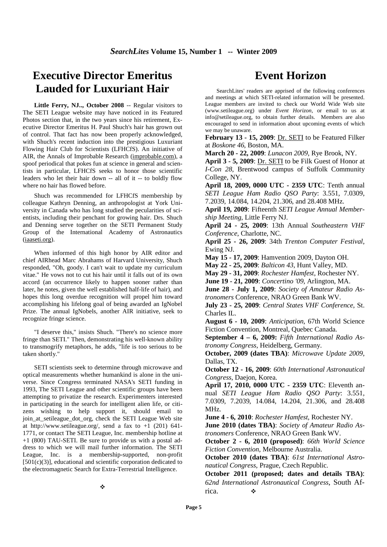## **Executive Director Emeritus Lauded for Luxuriant Hair**

Little Ferry, NJ.., October 2008 -- Regular visitors to The SETI League website may have noticed in its Featured Photos section that, in the two years since his retirement, Executive Director Emeritus H. Paul Shuch's hair has grown out of control. That fact has now been properly acknowledged, with Shuch's recent induction into the prestigious Luxuriant Flowing Hair Club for Scientists (LFHCfS). An initiative of AIR, the Annals of Improbable Research (improbable.com), a spoof periodical that pokes fun at science in general and scientists in particular, LFHCfS seeks to honor those scientific leaders who let their hair down -- all of it -- to boldly flow where no hair has flowed before.

Shuch was recommended for LFHCfS membership by colleague Kathryn Denning, an anthropologist at York University in Canada who has long studied the pecularities of scientists, including their penchant for growing hair. Drs. Shuch and Denning serve together on the SETI Permanent Study Group of the International Academy of Astronautics (iaaseti.org).

When informed of this high honor by AIR editor and chief AIRhead Marc Abrahams of Harvard University, Shuch responded, "Oh, goody. I can't wait to update my curriculum vitae." He vows not to cut his hair until it falls out of its own accord (an occurrence likely to happen sooner rather than later, he notes, given the well established half-life of hair), and hopes this long overdue recognition will propel him toward accomplishing his lifelong goal of being awarded an IgNobel Prize. The annual IgNobels, another AIR initiative, seek to recognize fringe science.

"I deserve this," insists Shuch. "There's no science more fringe than SETI." Then, demonstrating his well-known ability to transmogrify metaphors, he adds, "life is too serious to be taken shortly."

SETI scientists seek to determine through microwave and optical measurements whether humankind is alone in the universe. Since Congress terminated NASA's SETI funding in 1993, The SETI League and other scientific groups have been attempting to privatize the research. Experimenters interested in participating in the search for intelligent alien life, or citizens wishing to help support it, should email to join\_at\_setileague\_dot\_org, check the SETI League Web site at http://www.setileague.org/, send a fax to  $+1$  (201) 641-1771, or contact The SETI League, Inc. membership hotline at +1 (800) TAU-SETI. Be sure to provide us with a postal address to which we will mail further information. The SETI League, Inc. is a membership-supported, non-profit [501(c)(3)], educational and scientific corporation dedicated to the electromagnetic Search for Extra-Terrestrial Intelligence.

## **Event Horizon**

SearchLites' readers are apprised of the following conferences and meetings at which SETI-related information will be presented. League members are invited to check our World Wide Web site (www.setileague.org) under *Event Horizon*, or email to us at info@setileague.org, to obtain further details. Members are also encouraged to send in information about upcoming events of which we may be unaware.

February 13 - 15, 2009: Dr. SETI to be Featured Filker at *Boskone 46*, Boston, MA.

**March 20 - 22, 2009**: *Lunacon 2009*, Rye Brook, NY.

**April 3 - 5, 2009**: Dr. SETI to be Filk Guest of Honor at *I-Con 28*, Brentwood campus of Suffolk Community College, NY.

**April 18, 2009, 0000 UTC - 2359 UTC**: Tenth annual *SETI League Ham Radio QSO Party*: 3.551, 7.0309, 7.2039, 14.084, 14.204, 21.306, and 28.408 MHz.

**April 19, 2009**: Fifteenth *SETI League Annual Membership Meeting*, Little Ferry NJ.

**April 24 - 25, 2009**: 13th Annual *Southeastern VHF Conference*, Charlotte, NC.

**April 25 - 26, 2009**: 34th *Trenton Computer Festival*, Ewing NJ.

**May 15 - 17, 2009**: Hamvention 2009, Dayton OH.

**May 22 - 25, 2009**: *Balticon 43*, Hunt Valley, MD.

**May 29 - 31, 2009**: *Rochester Hamfest*, Rochester NY.

**June 19 - 21, 2009**: *Concertino '09*, Arlington, MA.

**June 28 - July 1, 2009**: *Society of Amateur Radio Astronomers* Conference, NRAO Green Bank WV.

**July 23 - 25, 2009**: *Central States VHF Conference*, St. Charles IL.

**August 6 - 10, 2009**: *Anticipation*, 67th World Science Fiction Convention, Montreal, Quebec Canada.

**September 4 – 6, 2009:** *Fifth International Radio Astronomy Congress,* Heidelberg, Germany.

**October, 2009 (dates TBA)**: *Microwave Update 2009*, Dallas, TX.

**October 12 - 16, 2009**: *60th International Astronautical Congress*, Daejon, Korea.

**April 17, 2010, 0000 UTC - 2359 UTC**: Eleventh annual *SETI League Ham Radio QSO Party*: 3.551, 7.0309, 7.2039, 14.084, 14.204, 21.306, and 28.408 MHz.

**June 4 - 6, 2010**: *Rochester Hamfest*, Rochester NY.

**June 2010 (dates TBA)**: *Society of Amateur Radio Astronomers* Conference, NRAO Green Bank WV.

**October 2 - 6, 2010 (proposed)**: *66th World Science Fiction Convention*, Melbourne Australia.

**October 2010 (dates TBA)**: *61st International Astronautical Congress*, Prague, Czech Republic.

**October 2011 (proposed; dates and details TBA)**: *62nd International Astronautical Congress*, South Africa.  $\bullet$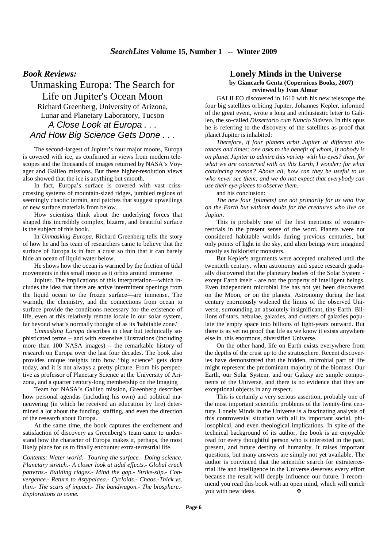#### *Book Reviews:*

Unmasking Europa: The Search for Life on Jupiter's Ocean Moon Richard Greenberg, University of Arizona, Lunar and Planetary Laboratory, Tucson A Close Look at Europa . . . And How Big Science Gets Done . . .

The second-largest of Jupiter's four major moons, Europa is covered with ice, as confirmed in views from modern telescopes and the thousands of images returned by NASA's Voyager and Galileo missions. But these higher-resolution views also showed that the ice is anything but smooth.

In fact, Europa's surface is covered with vast crisscrossing systems of mountain-sized ridges, jumbled regions of seemingly chaotic terrain, and patches that suggest upwellings of new surface materials from below.

How scientists think about the underlying forces that shaped this incredibly complex, bizarre, and beautiful surface is the subject of this book.

In *Unmasking Europa*, Richard Greenberg tells the story of how he and his team of researchers came to believe that the surface of Europa is in fact a crust so thin that it can barely hide an ocean of liquid water below.

He shows how the ocean is warmed by the friction of tidal movements in this small moon as it orbits around immense

Jupiter. The implications of this interpretation—which includes the idea that there are active intermittent openings from the liquid ocean to the frozen surface—are immense. The warmth, the chemistry, and the connections from ocean to surface provide the conditions necessary for the existence of life, even at this relatively remote locale in our solar system, far beyond what's normally thought of as its 'habitable zone.'

*Unmasking Europa* describes in clear but technically sophisticated terms – and with extensive illustrations (including more than 100 NASA images) – the remarkable history of research on Europa over the last four decades. The book also provides unique insights into how "big science" gets done today, and it is not always a pretty picture. From his perspective as professor of Planetary Science at the University of Arizona, and a quarter century-long membership on the Imaging

Team for NASA's Galileo mission, Greenberg describes how personal agendas (including his own) and political maneuvering (in which he received an education by fire) determined a lot about the funding, staffing, and even the direction of the research about Europa.

At the same time, the book captures the excitement and satisfaction of discovery as Greenberg's team came to understand how the character of Europa makes it, perhaps, the most likely place for us to finally encounter extra-terrestrial life.

*Contents: Water world.- Touring the surface.- Doing science. Planetary stretch.- A closer look at tidal effects.- Global crack patterns.- Building ridges.- Mind the gap.- Strike-slip.- Convergence.- Return to Astypalaea.- Cycloids.- Chaos.-Thick vs. thin.- The scars of impact.- The bandwagon.- The biosphere.- Explorations to come.* 

### **Lonely Minds in the Universe**

#### **by Giancarlo Genta (Copernicus Books, 2007) reviewed by Ivan Almar**

GALILEO discovered in 1610 with his new telescope the four big satellites orbiting Jupiter. Johannes Kepler, informed of the great event, wrote a long and enthusiastic letter to Galileo, the so-called *Dissertario cum Nuncio Sidereo*. In this opus he is referring to the discovery of the satellites as proof that planet Jupiter is inhabited:

*Therefore, if four planets orbit Jupiter at different distances and times: one asks to the benefit of whom, if nobody is on planet Jupiter to admire this variety with his eyes? then, for what we are concerned with on this Earth, I wonder; for what convincing reason? Above all, how can they be useful to us who never see them; and we do not expect that everybody can use their eye-pieces to observe them.*

and his conclusion:

*The new four [planets] are not primarily for us who live on the Earth but without doubt for the creatures who live on Jupiter.*

This is probably one of the first mentions of extraterrestrials in the present sense of the word. Planets were not considered habitable worlds during previous centuries, but only points of light in the sky, and alien beings were imagined mostly as folkloristic monsters.

But Kepler's arguments were accepted unaltered until the twentieth century, when astronomy and space research gradually discovered that the planetary bodies of the Solar System except Earth itself - are not the property of intelligent beings. Even independent microbial life has not yet been discovered on the Moon, or on the planets. Astronomy during the last century enormously widened the limits of the observed Universe, surrounding an absolutely insignificant, tiny Earth. Billions of stars, nebulae, galaxies, and clusters of galaxies populate the empty space into billions of light-years outward. But there is as yet no proof that life as we know it exists anywhere else in. this enormous, diversified Universe.

On the other hand, life on Earth exists everywhere from the depths of the crust up to the stratosphere. Recent discoveries have demonstrated that the hidden, microbial part of life might represent the predominant majority of the biomass. Our Earth, our Solar System, and our Galaxy are simple components of the Universe, and there is no evidence that they are exceptional objects in any respect.

This is certainly a very serious assertion, probably one of the most important scientific problems of the twenty-first century. Lonely Minds in the Universe is a fascinating analysis of this controversial situation with all its important social, philosophical, and even theological implications. In spite of the technical background of its author, the book is an enjoyable read for every thoughtful person who is interested in the past, present, and future destiny of humanity. It raises important questions, but many answers are simply not yet available. The author is convinced that the scientific search for extraterrestrial life and intelligence in the Universe deserves every effort because the result will deeply influence our future. I recommend you read this book with an open mind, which will enrich you with new ideas. ❖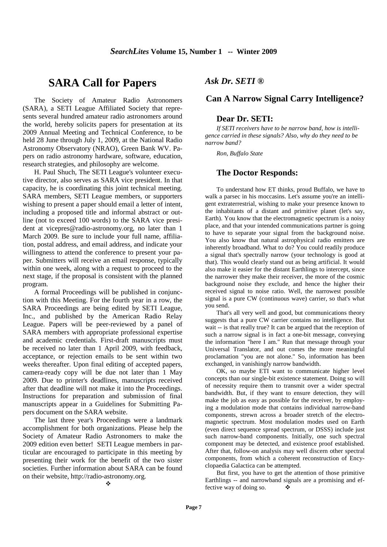### **SARA Call for Papers**

The Society of Amateur Radio Astronomers (SARA), a SETI League Affiliated Society that represents several hundred amateur radio astronomers around the world, hereby solicits papers for presentation at its 2009 Annual Meeting and Technical Conference, to be held 28 June through July 1, 2009, at the National Radio Astronomy Observatory (NRAO), Green Bank WV. Papers on radio astronomy hardware, software, education, research strategies, and philosophy are welcome.

H. Paul Shuch, The SETI League's volunteer executive director, also serves as SARA vice president. In that capacity, he is coordinating this joint technical meeting. SARA members, SETI League members, or supporters wishing to present a paper should email a letter of intent, including a proposed title and informal abstract or outline (not to exceed 100 words) to the SARA vice president at vicepres@radio-astronomy.org, no later than 1 March 2009. Be sure to include your full name, affiliation, postal address, and email address, and indicate your willingness to attend the conference to present your paper. Submitters will receive an email response, typically within one week, along with a request to proceed to the next stage, if the proposal is consistent with the planned program.

A formal Proceedings will be published in conjunction with this Meeting. For the fourth year in a row, the SARA Proceedings are being edited by SETI League, Inc., and published by the American Radio Relay League. Papers will be peer-reviewed by a panel of SARA members with appropriate professional expertise and academic credentials. First-draft manuscripts must be received no later than 1 April 2009, with feedback, acceptance, or rejection emails to be sent within two weeks thereafter. Upon final editing of accepted papers, camera-ready copy will be due not later than 1 May 2009. Due to printer's deadlines, manuscripts received after that deadline will not make it into the Proceedings. Instructions for preparation and submission of final manuscripts appear in a Guidelines for Submitting Papers document on the SARA website.

The last three year's Proceedings were a landmark accomplishment for both organizations. Please help the Society of Amateur Radio Astronomers to make the 2009 edition even better! SETI League members in particular are encouraged to participate in this meeting by presenting their work for the benefit of the two sister societies. Further information about SARA can be found on their website, http://radio-astronomy.org.  $\ddot{\phi}$ 

#### *Ask Dr. SETI ®*

#### **Can A Narrow Signal Carry Intelligence?**

#### **Dear Dr. SETI:**

*If SETI receivers have to be narrow band, how is intelligence carried in these signals? Also, why do they need to be narrow band?*

*Ron, Buffalo State*

#### **The Doctor Responds:**

To understand how ET thinks, proud Buffalo, we have to walk a parsec in his moccasins. Let's assume you're an intelligent extraterrestrial, wishing to make your presence known to the inhabitants of a distant and primitive planet (let's say, Earth). You know that the electromagnetic spectrum is a noisy place, and that your intended communications partner is going to have to separate your signal from the background noise. You also know that natural astrophysical radio emitters are inherently broadband. What to do? You could readily produce a signal that's spectrally narrow (your technology is good at that). This would clearly stand out as being artificial. It would also make it easier for the distant Earthlings to intercept, since the narrower they make their receiver, the more of the cosmic background noise they exclude, and hence the higher their received signal to noise ratio. Well, the narrowest possible signal is a pure CW (continuous wave) carrier, so that's what you send.

That's all very well and good, but communications theory suggests that a pure CW carrier contains no intelligence. But wait -- is that really true? It can be argued that the reception of such a narrow signal is in fact a one-bit message, conveying the information "here I am." Run that message through your Universal Translator, and out comes the more meaningful proclamation "you are not alone." So, information has been exchanged, in vanishingly narrow bandwidth.

OK, so maybe ETI want to communicate higher level concepts than our single-bit existence statement. Doing so will of necessity require them to transmit over a wider spectral bandwidth. But, if they want to ensure detection, they will make the job as easy as possible for the receiver, by employing a modulation mode that contains individual narrow-band components, strewn across a broader stretch of the electromagnetic spectrum. Most modulation modes used on Earth (even direct sequence spread spectrum, or DSSS) include just such narrow-band components. Initially, one such spectral component may be detected, and existence proof established. After that, follow-on analysis may well discern other spectral components, from which a coherent reconstruction of Encyclopaedia Galactica can be attempted.

But first, you have to get the attention of those primitive Earthlings -- and narrowband signals are a promising and effective way of doing so.  $\bullet$